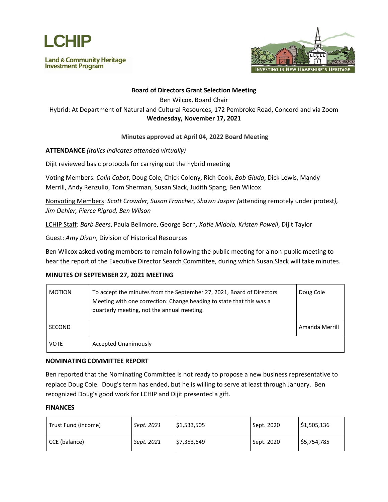

**Land & Community Heritage Investment Program** 



# **Board of Directors Grant Selection Meeting**

Ben Wilcox, Board Chair

Hybrid: At Department of Natural and Cultural Resources, 172 Pembroke Road, Concord and via Zoom **Wednesday, November 17, 2021**

### **Minutes approved at April 04, 2022 Board Meeting**

**ATTENDANCE** *(Italics indicates attended virtually)*

Dijit reviewed basic protocols for carrying out the hybrid meeting

Voting Members: *Colin Cabot*, Doug Cole, Chick Colony, Rich Cook, *Bob Giuda*, Dick Lewis, Mandy Merrill, Andy Renzullo, Tom Sherman, Susan Slack, Judith Spang, Ben Wilcox

Nonvoting Members: *Scott Crowder, Susan Francher, Shawn Jasper (*attending remotely under protest*), Jim Oehler, Pierce Rigrod, Ben Wilson*

LCHIP Staff: *Barb Beers*, Paula Bellmore, George Born*, Katie Midolo, Kristen Powell*, Dijit Taylor

Guest: *Amy Dixon*, Division of Historical Resources

Ben Wilcox asked voting members to remain following the public meeting for a non-public meeting to hear the report of the Executive Director Search Committee, during which Susan Slack will take minutes.

#### **MINUTES OF SEPTEMBER 27, 2021 MEETING**

| <b>MOTION</b> | To accept the minutes from the September 27, 2021, Board of Directors<br>Meeting with one correction: Change heading to state that this was a<br>quarterly meeting, not the annual meeting. | Doug Cole      |
|---------------|---------------------------------------------------------------------------------------------------------------------------------------------------------------------------------------------|----------------|
| <b>SECOND</b> |                                                                                                                                                                                             | Amanda Merrill |
| VOTE          | <b>Accepted Unanimously</b>                                                                                                                                                                 |                |

#### **NOMINATING COMMITTEE REPORT**

Ben reported that the Nominating Committee is not ready to propose a new business representative to replace Doug Cole. Doug's term has ended, but he is willing to serve at least through January. Ben recognized Doug's good work for LCHIP and Dijit presented a gift.

#### **FINANCES**

| Trust Fund (income) | Sept. 2021 | \$1,533,505 | Sept. 2020 | \$1,505,136 |
|---------------------|------------|-------------|------------|-------------|
| CCE (balance)       | Sept. 2021 | \$7,353,649 | Sept. 2020 | \$5,754,785 |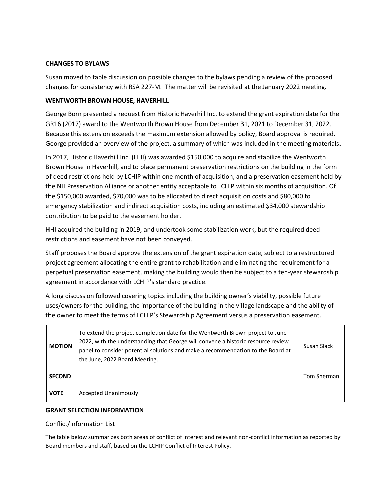# **CHANGES TO BYLAWS**

Susan moved to table discussion on possible changes to the bylaws pending a review of the proposed changes for consistency with RSA 227-M. The matter will be revisited at the January 2022 meeting.

# **WENTWORTH BROWN HOUSE, HAVERHILL**

George Born presented a request from Historic Haverhill Inc. to extend the grant expiration date for the GR16 (2017) award to the Wentworth Brown House from December 31, 2021 to December 31, 2022. Because this extension exceeds the maximum extension allowed by policy, Board approval is required. George provided an overview of the project, a summary of which was included in the meeting materials.

In 2017, Historic Haverhill Inc. (HHI) was awarded \$150,000 to acquire and stabilize the Wentworth Brown House in Haverhill, and to place permanent preservation restrictions on the building in the form of deed restrictions held by LCHIP within one month of acquisition, and a preservation easement held by the NH Preservation Alliance or another entity acceptable to LCHIP within six months of acquisition. Of the \$150,000 awarded, \$70,000 was to be allocated to direct acquisition costs and \$80,000 to emergency stabilization and indirect acquisition costs, including an estimated \$34,000 stewardship contribution to be paid to the easement holder.

HHI acquired the building in 2019, and undertook some stabilization work, but the required deed restrictions and easement have not been conveyed.

Staff proposes the Board approve the extension of the grant expiration date, subject to a restructured project agreement allocating the entire grant to rehabilitation and eliminating the requirement for a perpetual preservation easement, making the building would then be subject to a ten-year stewardship agreement in accordance with LCHIP's standard practice.

A long discussion followed covering topics including the building owner's viability, possible future uses/owners for the building, the importance of the building in the village landscape and the ability of the owner to meet the terms of LCHIP's Stewardship Agreement versus a preservation easement.

| <b>MOTION</b> | To extend the project completion date for the Wentworth Brown project to June<br>2022, with the understanding that George will convene a historic resource review<br>panel to consider potential solutions and make a recommendation to the Board at<br>the June, 2022 Board Meeting. | Susan Slack |
|---------------|---------------------------------------------------------------------------------------------------------------------------------------------------------------------------------------------------------------------------------------------------------------------------------------|-------------|
| <b>SECOND</b> |                                                                                                                                                                                                                                                                                       | Tom Sherman |
| <b>VOTE</b>   | <b>Accepted Unanimously</b>                                                                                                                                                                                                                                                           |             |

# **GRANT SELECTION INFORMATION**

# Conflict/Information List

The table below summarizes both areas of conflict of interest and relevant non-conflict information as reported by Board members and staff, based on the LCHIP Conflict of Interest Policy.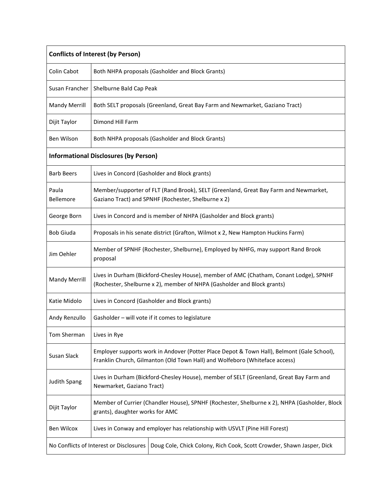| <b>Conflicts of Interest (by Person)</b>                                                                         |                                                                                                                      |                                                                                                                                                                           |  |
|------------------------------------------------------------------------------------------------------------------|----------------------------------------------------------------------------------------------------------------------|---------------------------------------------------------------------------------------------------------------------------------------------------------------------------|--|
| Colin Cabot                                                                                                      |                                                                                                                      | Both NHPA proposals (Gasholder and Block Grants)                                                                                                                          |  |
| Susan Francher                                                                                                   | Shelburne Bald Cap Peak                                                                                              |                                                                                                                                                                           |  |
| <b>Mandy Merrill</b>                                                                                             |                                                                                                                      | Both SELT proposals (Greenland, Great Bay Farm and Newmarket, Gaziano Tract)                                                                                              |  |
| Dijit Taylor                                                                                                     | Dimond Hill Farm                                                                                                     |                                                                                                                                                                           |  |
| Ben Wilson                                                                                                       |                                                                                                                      | Both NHPA proposals (Gasholder and Block Grants)                                                                                                                          |  |
|                                                                                                                  | <b>Informational Disclosures (by Person)</b>                                                                         |                                                                                                                                                                           |  |
| <b>Barb Beers</b>                                                                                                |                                                                                                                      | Lives in Concord (Gasholder and Block grants)                                                                                                                             |  |
| Paula<br>Bellemore                                                                                               |                                                                                                                      | Member/supporter of FLT (Rand Brook), SELT (Greenland, Great Bay Farm and Newmarket,<br>Gaziano Tract) and SPNHF (Rochester, Shelburne x 2)                               |  |
| George Born                                                                                                      |                                                                                                                      | Lives in Concord and is member of NHPA (Gasholder and Block grants)                                                                                                       |  |
| <b>Bob Giuda</b>                                                                                                 |                                                                                                                      | Proposals in his senate district (Grafton, Wilmot x 2, New Hampton Huckins Farm)                                                                                          |  |
| Jim Oehler                                                                                                       | proposal                                                                                                             | Member of SPNHF (Rochester, Shelburne), Employed by NHFG, may support Rand Brook                                                                                          |  |
| <b>Mandy Merrill</b>                                                                                             |                                                                                                                      | Lives in Durham (Bickford-Chesley House), member of AMC (Chatham, Conant Lodge), SPNHF<br>(Rochester, Shelburne x 2), member of NHPA (Gasholder and Block grants)         |  |
| Katie Midolo                                                                                                     |                                                                                                                      | Lives in Concord (Gasholder and Block grants)                                                                                                                             |  |
| Andy Renzullo                                                                                                    |                                                                                                                      | Gasholder - will vote if it comes to legislature                                                                                                                          |  |
| Tom Sherman                                                                                                      | Lives in Rye                                                                                                         |                                                                                                                                                                           |  |
| Susan Slack                                                                                                      |                                                                                                                      | Employer supports work in Andover (Potter Place Depot & Town Hall), Belmont (Gale School),<br>Franklin Church, Gilmanton (Old Town Hall) and Wolfeboro (Whiteface access) |  |
| <b>Judith Spang</b>                                                                                              | Lives in Durham (Bickford-Chesley House), member of SELT (Greenland, Great Bay Farm and<br>Newmarket, Gaziano Tract) |                                                                                                                                                                           |  |
| Dijit Taylor                                                                                                     | grants), daughter works for AMC                                                                                      | Member of Currier (Chandler House), SPNHF (Rochester, Shelburne x 2), NHPA (Gasholder, Block                                                                              |  |
| Ben Wilcox                                                                                                       | Lives in Conway and employer has relationship with USVLT (Pine Hill Forest)                                          |                                                                                                                                                                           |  |
| No Conflicts of Interest or Disclosures<br>Doug Cole, Chick Colony, Rich Cook, Scott Crowder, Shawn Jasper, Dick |                                                                                                                      |                                                                                                                                                                           |  |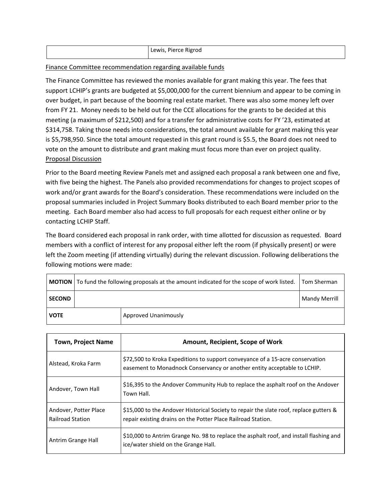|  | Lewis, Pierce Rigrod |
|--|----------------------|
|--|----------------------|

### Finance Committee recommendation regarding available funds

The Finance Committee has reviewed the monies available for grant making this year. The fees that support LCHIP's grants are budgeted at \$5,000,000 for the current biennium and appear to be coming in over budget, in part because of the booming real estate market. There was also some money left over from FY 21. Money needs to be held out for the CCE allocations for the grants to be decided at this meeting (a maximum of \$212,500) and for a transfer for administrative costs for FY '23, estimated at \$314,758. Taking those needs into considerations, the total amount available for grant making this year is \$5,798,950. Since the total amount requested in this grant round is \$5.5, the Board does not need to vote on the amount to distribute and grant making must focus more than ever on project quality. Proposal Discussion

Prior to the Board meeting Review Panels met and assigned each proposal a rank between one and five, with five being the highest. The Panels also provided recommendations for changes to project scopes of work and/or grant awards for the Board's consideration. These recommendations were included on the proposal summaries included in Project Summary Books distributed to each Board member prior to the meeting. Each Board member also had access to full proposals for each request either online or by contacting LCHIP Staff.

The Board considered each proposal in rank order, with time allotted for discussion as requested. Board members with a conflict of interest for any proposal either left the room (if physically present) or were left the Zoom meeting (if attending virtually) during the relevant discussion. Following deliberations the following motions were made:

|               | <b>MOTION</b>   To fund the following proposals at the amount indicated for the scope of work listed. | Tom Sherman          |                      |
|---------------|-------------------------------------------------------------------------------------------------------|----------------------|----------------------|
| <b>SECOND</b> |                                                                                                       |                      | <b>Mandy Merrill</b> |
| <b>VOTE</b>   |                                                                                                       | Approved Unanimously |                      |

| <b>Town, Project Name</b>                        | Amount, Recipient, Scope of Work                                                                                                                          |
|--------------------------------------------------|-----------------------------------------------------------------------------------------------------------------------------------------------------------|
| Alstead, Kroka Farm                              | \$72,500 to Kroka Expeditions to support conveyance of a 15-acre conservation<br>easement to Monadnock Conservancy or another entity acceptable to LCHIP. |
| Andover, Town Hall                               | \$16,395 to the Andover Community Hub to replace the asphalt roof on the Andover<br>Town Hall.                                                            |
| Andover, Potter Place<br><b>Railroad Station</b> | \$15,000 to the Andover Historical Society to repair the slate roof, replace gutters &<br>repair existing drains on the Potter Place Railroad Station.    |
| Antrim Grange Hall                               | \$10,000 to Antrim Grange No. 98 to replace the asphalt roof, and install flashing and<br>ice/water shield on the Grange Hall.                            |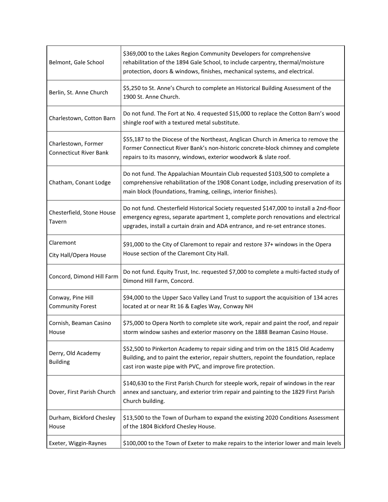| Belmont, Gale School                                 | \$369,000 to the Lakes Region Community Developers for comprehensive<br>rehabilitation of the 1894 Gale School, to include carpentry, thermal/moisture<br>protection, doors & windows, finishes, mechanical systems, and electrical.                            |
|------------------------------------------------------|-----------------------------------------------------------------------------------------------------------------------------------------------------------------------------------------------------------------------------------------------------------------|
| Berlin, St. Anne Church                              | \$5,250 to St. Anne's Church to complete an Historical Building Assessment of the<br>1900 St. Anne Church.                                                                                                                                                      |
| Charlestown, Cotton Barn                             | Do not fund. The Fort at No. 4 requested \$15,000 to replace the Cotton Barn's wood<br>shingle roof with a textured metal substitute.                                                                                                                           |
| Charlestown, Former<br><b>Connecticut River Bank</b> | \$55,187 to the Diocese of the Northeast, Anglican Church in America to remove the<br>Former Connecticut River Bank's non-historic concrete-block chimney and complete<br>repairs to its masonry, windows, exterior woodwork & slate roof.                      |
| Chatham, Conant Lodge                                | Do not fund. The Appalachian Mountain Club requested \$103,500 to complete a<br>comprehensive rehabilitation of the 1908 Conant Lodge, including preservation of its<br>main block (foundations, framing, ceilings, interior finishes).                         |
| Chesterfield, Stone House<br>Tavern                  | Do not fund. Chesterfield Historical Society requested \$147,000 to install a 2nd-floor<br>emergency egress, separate apartment 1, complete porch renovations and electrical<br>upgrades, install a curtain drain and ADA entrance, and re-set entrance stones. |
| Claremont<br>City Hall/Opera House                   | \$91,000 to the City of Claremont to repair and restore 37+ windows in the Opera<br>House section of the Claremont City Hall.                                                                                                                                   |
| Concord, Dimond Hill Farm                            | Do not fund. Equity Trust, Inc. requested \$7,000 to complete a multi-facted study of<br>Dimond Hill Farm, Concord.                                                                                                                                             |
| Conway, Pine Hill<br><b>Community Forest</b>         | \$94,000 to the Upper Saco Valley Land Trust to support the acquisition of 134 acres<br>located at or near Rt 16 & Eagles Way, Conway NH                                                                                                                        |
| Cornish, Beaman Casino<br>House                      | \$75,000 to Opera North to complete site work, repair and paint the roof, and repair<br>storm window sashes and exterior masonry on the 1888 Beaman Casino House.                                                                                               |
| Derry, Old Academy<br><b>Building</b>                | \$52,500 to Pinkerton Academy to repair siding and trim on the 1815 Old Academy<br>Building, and to paint the exterior, repair shutters, repoint the foundation, replace<br>cast iron waste pipe with PVC, and improve fire protection.                         |
| Dover, First Parish Church                           | \$140,630 to the First Parish Church for steeple work, repair of windows in the rear<br>annex and sanctuary, and exterior trim repair and painting to the 1829 First Parish<br>Church building.                                                                 |
| Durham, Bickford Chesley<br>House                    | \$13,500 to the Town of Durham to expand the existing 2020 Conditions Assessment<br>of the 1804 Bickford Chesley House.                                                                                                                                         |
| Exeter, Wiggin-Raynes                                | \$100,000 to the Town of Exeter to make repairs to the interior lower and main levels                                                                                                                                                                           |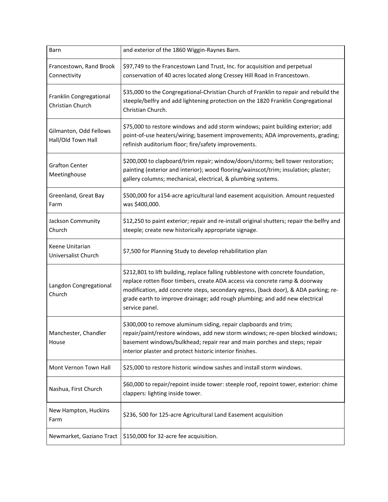| Barn                                         | and exterior of the 1860 Wiggin-Raynes Barn.                                                                                                                                                                                                                                                                                                             |
|----------------------------------------------|----------------------------------------------------------------------------------------------------------------------------------------------------------------------------------------------------------------------------------------------------------------------------------------------------------------------------------------------------------|
| Francestown, Rand Brook<br>Connectivity      | \$97,749 to the Francestown Land Trust, Inc. for acquisition and perpetual<br>conservation of 40 acres located along Cressey Hill Road in Francestown.                                                                                                                                                                                                   |
| Franklin Congregational<br>Christian Church  | \$35,000 to the Congregational-Christian Church of Franklin to repair and rebuild the<br>steeple/belfry and add lightening protection on the 1820 Franklin Congregational<br>Christian Church.                                                                                                                                                           |
| Gilmanton, Odd Fellows<br>Hall/Old Town Hall | \$75,000 to restore windows and add storm windows; paint building exterior; add<br>point-of-use heaters/wiring; basement improvements; ADA improvements, grading;<br>refinish auditorium floor; fire/safety improvements.                                                                                                                                |
| <b>Grafton Center</b><br>Meetinghouse        | \$200,000 to clapboard/trim repair; window/doors/storms; bell tower restoration;<br>painting (exterior and interior); wood flooring/wainscot/trim; insulation; plaster;<br>gallery columns; mechanical, electrical, & plumbing systems.                                                                                                                  |
| Greenland, Great Bay<br>Farm                 | \$500,000 for a154-acre agricultural land easement acquisition. Amount requested<br>was \$400,000.                                                                                                                                                                                                                                                       |
| Jackson Community<br>Church                  | \$12,250 to paint exterior; repair and re-install original shutters; repair the belfry and<br>steeple; create new historically appropriate signage.                                                                                                                                                                                                      |
| Keene Unitarian<br>Universalist Church       | \$7,500 for Planning Study to develop rehabilitation plan                                                                                                                                                                                                                                                                                                |
| Langdon Congregational<br>Church             | \$212,801 to lift building, replace falling rubblestone with concrete foundation,<br>replace rotten floor timbers, create ADA access via concrete ramp & doorway<br>modification, add concrete steps, secondary egress, (back door), & ADA parking; re-<br>grade earth to improve drainage; add rough plumbing; and add new electrical<br>service panel. |
| Manchester, Chandler<br>House                | \$300,000 to remove aluminum siding, repair clapboards and trim;<br>repair/paint/restore windows, add new storm windows; re-open blocked windows;<br>basement windows/bulkhead; repair rear and main porches and steps; repair<br>interior plaster and protect historic interior finishes.                                                               |
| Mont Vernon Town Hall                        | \$25,000 to restore historic window sashes and install storm windows.                                                                                                                                                                                                                                                                                    |
| Nashua, First Church                         | \$60,000 to repair/repoint inside tower: steeple roof, repoint tower, exterior: chime<br>clappers: lighting inside tower.                                                                                                                                                                                                                                |
| New Hampton, Huckins<br>Farm                 | \$236, 500 for 125-acre Agricultural Land Easement acquisition                                                                                                                                                                                                                                                                                           |
| Newmarket, Gaziano Tract                     | \$150,000 for 32-acre fee acquisition.                                                                                                                                                                                                                                                                                                                   |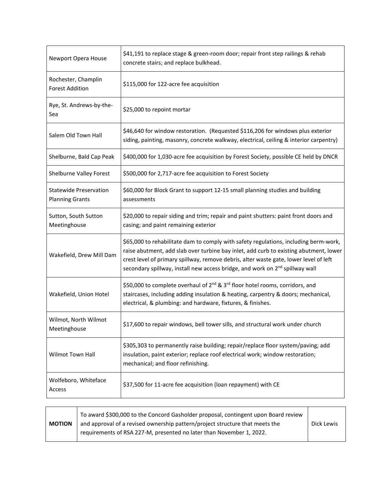| Newport Opera House                                     | \$41,191 to replace stage & green-room door; repair front step railings & rehab<br>concrete stairs; and replace bulkhead.                                                                                                                                                                                                                                          |
|---------------------------------------------------------|--------------------------------------------------------------------------------------------------------------------------------------------------------------------------------------------------------------------------------------------------------------------------------------------------------------------------------------------------------------------|
| Rochester, Champlin<br><b>Forest Addition</b>           | \$115,000 for 122-acre fee acquisition                                                                                                                                                                                                                                                                                                                             |
| Rye, St. Andrews-by-the-<br>Sea                         | \$25,000 to repoint mortar                                                                                                                                                                                                                                                                                                                                         |
| Salem Old Town Hall                                     | \$46,640 for window restoration. (Requested \$116,206 for windows plus exterior<br>siding, painting, masonry, concrete walkway, electrical, ceiling & interior carpentry)                                                                                                                                                                                          |
| Shelburne, Bald Cap Peak                                | \$400,000 for 1,030-acre fee acquisition by Forest Society, possible CE held by DNCR                                                                                                                                                                                                                                                                               |
| Shelburne Valley Forest                                 | \$500,000 for 2,717-acre fee acquisition to Forest Society                                                                                                                                                                                                                                                                                                         |
| <b>Statewide Preservation</b><br><b>Planning Grants</b> | \$60,000 for Block Grant to support 12-15 small planning studies and building<br>assessments                                                                                                                                                                                                                                                                       |
| Sutton, South Sutton<br>Meetinghouse                    | \$20,000 to repair siding and trim; repair and paint shutters: paint front doors and<br>casing; and paint remaining exterior                                                                                                                                                                                                                                       |
| Wakefield, Drew Mill Dam                                | \$65,000 to rehabilitate dam to comply with safety regulations, including berm-work,<br>raise abutment, add slab over turbine bay inlet, add curb to existing abutment, lower<br>crest level of primary spillway, remove debris, alter waste gate, lower level of left<br>secondary spillway, install new access bridge, and work on 2 <sup>nd</sup> spillway wall |
| Wakefield, Union Hotel                                  | \$50,000 to complete overhaul of 2 <sup>nd</sup> & 3 <sup>rd</sup> floor hotel rooms, corridors, and<br>staircases, including adding insulation & heating, carpentry & doors; mechanical,<br>electrical, & plumbing: and hardware, fixtures, & finishes.                                                                                                           |
| Wilmot, North Wilmot<br>Meetinghouse                    | \$17,600 to repair windows, bell tower sills, and structural work under church                                                                                                                                                                                                                                                                                     |
| Wilmot Town Hall                                        | \$305,303 to permanently raise building; repair/replace floor system/paving; add<br>insulation, paint exterior; replace roof electrical work; window restoration;<br>mechanical; and floor refinishing.                                                                                                                                                            |
| Wolfeboro, Whiteface<br>Access                          | \$37,500 for 11-acre fee acquisition (loan repayment) with CE                                                                                                                                                                                                                                                                                                      |

| <b>MOTION</b> | To award \$300,000 to the Concord Gasholder proposal, contingent upon Board review<br>and approval of a revised ownership pattern/project structure that meets the<br>requirements of RSA 227-M, presented no later than November 1, 2022. | Dick Lewis |
|---------------|--------------------------------------------------------------------------------------------------------------------------------------------------------------------------------------------------------------------------------------------|------------|
|---------------|--------------------------------------------------------------------------------------------------------------------------------------------------------------------------------------------------------------------------------------------|------------|

Ē

٦